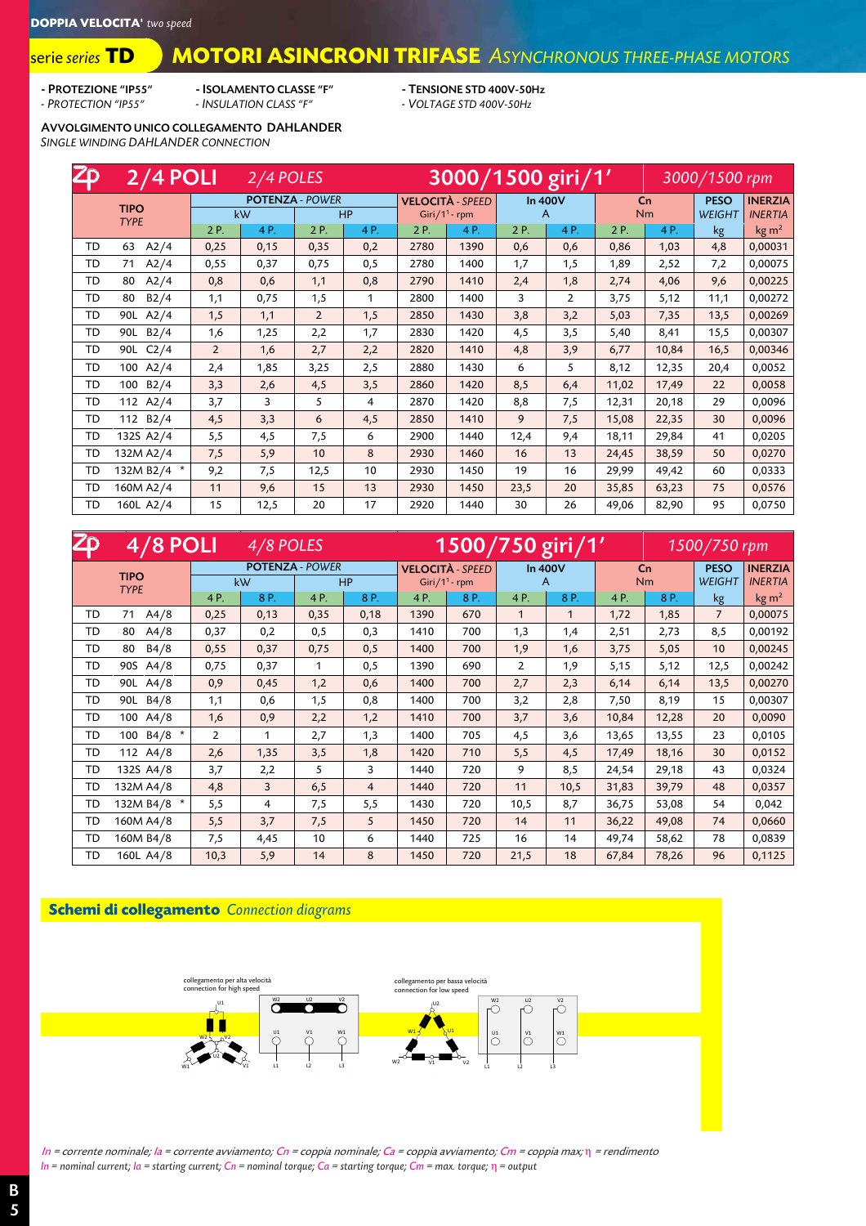#### **MOTORI ASINCRONI TRIFASE** *ASYNCHRONOUS THREE-PHASE MOTORS* serie *series* **TD**

- PROTEZIONE "IP55" - ISOLAMENTO CLASSE "F" - TENSIONE STD 400V-50Hz<br>- PROTECTION "IP55" - INSULATION CLASS "F" - VOLTAGE STD 400V-50Hz *- PROTECTION "IP55" - INSULATION CLASS "F" - VOLTAGE STD 400V-50Hz*

AVVOLGIMENTO UNICO COLLEGAMENTO DAHLANDER *SINGLE WINDING DAHLANDER CONNECTION*

| <b>Zo</b> | $2/4$ POLI               | 3000/1500 giri/1'<br>3000/1500 rpm |      |                        |     |                           |                         |      |                |       |                |               |                 |
|-----------|--------------------------|------------------------------------|------|------------------------|-----|---------------------------|-------------------------|------|----------------|-------|----------------|---------------|-----------------|
|           | <b>TIPO</b>              |                                    |      | <b>POTENZA - POWER</b> |     |                           | <b>VELOCITÀ - SPEED</b> |      | <b>In 400V</b> |       | C <sub>n</sub> |               | <b>INERZIA</b>  |
|           | <b>TYPE</b>              |                                    | kW   | <b>HP</b>              |     | Giri/1 <sup>1</sup> - rpm |                         |      | A              |       | <b>Nm</b>      | <b>WEIGHT</b> | <b>INERTIA</b>  |
|           |                          | 2 P.                               | 4P.  | 2 P.                   | 4P. | 2 P.                      | 4P.                     | 2 P. | 4P.            | 2 P.  | 4P.            | kg            | $\text{kg m}^2$ |
| TD        | A2/4<br>63               | 0,25                               | 0,15 | 0,35                   | 0,2 | 2780                      | 1390                    | 0,6  | 0,6            | 0,86  | 1,03           | 4,8           | 0,00031         |
| TD        | A2/4<br>71               | 0,55                               | 0,37 | 0,75                   | 0,5 | 2780                      | 1400                    | 1,7  | 1,5            | 1,89  | 2,52           | 7,2           | 0,00075         |
| TD        | A2/4<br>80               | 0,8                                | 0,6  | 1,1                    | 0,8 | 2790                      | 1410                    | 2,4  | 1,8            | 2,74  | 4,06           | 9,6           | 0,00225         |
| TD        | B2/4<br>80               | 1,1                                | 0,75 | 1,5                    | 1   | 2800                      | 1400                    | 3    | $\overline{2}$ | 3,75  | 5,12           | 11,1          | 0,00272         |
| TD        | A2/4<br>90L              | 1,5                                | 1,1  | $\overline{2}$         | 1,5 | 2850                      | 1430                    | 3,8  | 3,2            | 5,03  | 7,35           | 13,5          | 0,00269         |
| TD        | B2/4<br>90L              | 1,6                                | 1,25 | 2,2                    | 1,7 | 2830                      | 1420                    | 4,5  | 3,5            | 5,40  | 8,41           | 15,5          | 0,00307         |
| TD        | C <sub>2</sub> /4<br>90L | $\overline{2}$                     | 1,6  | 2,7                    | 2,2 | 2820                      | 1410                    | 4,8  | 3,9            | 6,77  | 10,84          | 16,5          | 0,00346         |
| TD        | 100 A2/4                 | 2,4                                | 1,85 | 3,25                   | 2,5 | 2880                      | 1430                    | 6    | 5              | 8,12  | 12,35          | 20,4          | 0,0052          |
| TD        | B2/4<br>100              | 3,3                                | 2,6  | 4,5                    | 3,5 | 2860                      | 1420                    | 8,5  | 6,4            | 11,02 | 17,49          | 22            | 0,0058          |
| TD        | A2/4<br>112              | 3,7                                | 3    | 5                      | 4   | 2870                      | 1420                    | 8,8  | 7,5            | 12,31 | 20,18          | 29            | 0,0096          |
| TD        | 112 B2/4                 | 4,5                                | 3,3  | 6                      | 4,5 | 2850                      | 1410                    | 9    | 7,5            | 15,08 | 22,35          | 30            | 0,0096          |
| TD        | 132S A2/4                | 5,5                                | 4,5  | 7,5                    | 6   | 2900                      | 1440                    | 12,4 | 9,4            | 18,11 | 29,84          | 41            | 0,0205          |
| TD        | 132M A2/4                | 7,5                                | 5,9  | 10                     | 8   | 2930                      | 1460                    | 16   | 13             | 24,45 | 38,59          | 50            | 0,0270          |
| TD        | 132M B2/4 *              | 9,2                                | 7,5  | 12,5                   | 10  | 2930                      | 1450                    | 19   | 16             | 29,99 | 49,42          | 60            | 0,0333          |
| TD        | 160M A2/4                | 11                                 | 9,6  | 15                     | 13  | 2930                      | 1450                    | 23,5 | 20             | 35,85 | 63,23          | 75            | 0,0576          |
| TD        | 160L A2/4                | 15                                 | 12,5 | 20                     | 17  | 2920                      | 1440                    | 30   | 26             | 49,06 | 82,90          | 95            | 0,0750          |

| $\mathsf{Zp}$ | $4/8$ POLI<br>4/8 POLES |                |      |                        |                |      | $1500/750$ giri $71'$<br>1500/750 rpm |      |         |                |           |                |                   |  |
|---------------|-------------------------|----------------|------|------------------------|----------------|------|---------------------------------------|------|---------|----------------|-----------|----------------|-------------------|--|
|               | <b>TIPO</b>             |                |      | <b>POTENZA - POWER</b> |                |      | <b>VELOCITÀ - SPEED</b>               |      | In 400V | C <sub>n</sub> |           | <b>PESO</b>    | <b>INERZIA</b>    |  |
|               | <b>TYPE</b>             |                | kW   |                        | HP             |      | Giri/1 <sup>1</sup> - rpm             |      | A       |                | <b>Nm</b> | <b>WEIGHT</b>  | <b>INERTIA</b>    |  |
|               |                         | 4P.            | 8 P. | 4P.                    | 8 P.           | 4P.  | 8P.                                   | 4P.  | 8P.     | 4P.            | 8 P.      | kg             | kg m <sup>2</sup> |  |
| TD            | A4/8<br>71              | 0,25           | 0,13 | 0,35                   | 0,18           | 1390 | 670                                   | 1    | 1       | 1,72           | 1,85      | $\overline{7}$ | 0,00075           |  |
| TD            | A4/8<br>80              | 0,37           | 0,2  | 0,5                    | 0,3            | 1410 | 700                                   | 1,3  | 1,4     | 2,51           | 2,73      | 8,5            | 0,00192           |  |
| TD            | B4/8<br>80              | 0,55           | 0,37 | 0,75                   | 0,5            | 1400 | 700                                   | 1,9  | 1,6     | 3,75           | 5,05      | 10             | 0,00245           |  |
| TD            | 90S<br>A4/8             | 0,75           | 0,37 | 1                      | 0,5            | 1390 | 690                                   | 2    | 1,9     | 5,15           | 5,12      | 12,5           | 0,00242           |  |
| TD            | 90L<br>A4/8             | 0,9            | 0,45 | 1,2                    | 0,6            | 1400 | 700                                   | 2,7  | 2,3     | 6,14           | 6,14      | 13,5           | 0,00270           |  |
| TD            | B4/8<br>90L             | 1,1            | 0,6  | 1,5                    | 0,8            | 1400 | 700                                   | 3,2  | 2,8     | 7,50           | 8,19      | 15             | 0,00307           |  |
| TD            | 100 A4/8                | 1,6            | 0,9  | 2,2                    | 1,2            | 1410 | 700                                   | 3,7  | 3,6     | 10,84          | 12,28     | 20             | 0,0090            |  |
| TD            | $B4/8$ *<br>100         | $\overline{2}$ | 1    | 2,7                    | 1,3            | 1400 | 705                                   | 4,5  | 3,6     | 13,65          | 13,55     | 23             | 0,0105            |  |
| TD            | 112 A4/8                | 2,6            | 1,35 | 3,5                    | 1,8            | 1420 | 710                                   | 5,5  | 4,5     | 17,49          | 18,16     | 30             | 0,0152            |  |
| TD            | 132S A4/8               | 3,7            | 2,2  | 5                      | 3              | 1440 | 720                                   | 9    | 8,5     | 24,54          | 29,18     | 43             | 0,0324            |  |
| TD            | 132M A4/8               | 4,8            | 3    | 6,5                    | $\overline{4}$ | 1440 | 720                                   | 11   | 10,5    | 31,83          | 39,79     | 48             | 0,0357            |  |
| TD            | 132M B4/8 *             | 5,5            | 4    | 7,5                    | 5,5            | 1430 | 720                                   | 10,5 | 8,7     | 36,75          | 53,08     | 54             | 0,042             |  |
| TD            | 160M A4/8               | 5,5            | 3,7  | 7,5                    | 5              | 1450 | 720                                   | 14   | 11      | 36,22          | 49,08     | 74             | 0,0660            |  |
| TD            | 160M B4/8               | 7,5            | 4,45 | 10                     | 6              | 1440 | 725                                   | 16   | 14      | 49,74          | 58,62     | 78             | 0,0839            |  |
| TD            | 160L A4/8               | 10,3           | 5,9  | 14                     | 8              | 1450 | 720                                   | 21,5 | 18      | 67,84          | 78,26     | 96             | 0,1125            |  |

### **Schemi di collegamento** *Connection diagrams*



In = corrente nominale; Ia = corrente avviamento; Cn = coppia nominale; Ca = coppia avviamento; Cm = coppia max; η = rendimento *In = nominal current; Ia = starting current; Cn = nominal torque; Ca = starting torque; Cm = max. torque;* η *= output*